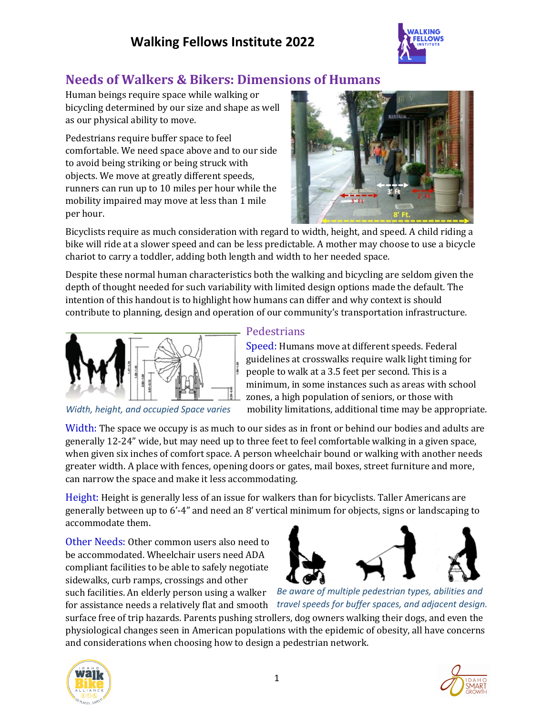## **Walking Fellows Institute 2022**



### **Needs of Walkers & Bikers: Dimensions of Humans**

Human beings require space while walking or bicycling determined by our size and shape as well as our physical ability to move.

Pedestrians require buffer space to feel comfortable. We need space above and to our side to avoid being striking or being struck with objects. We move at greatly different speeds, runners can run up to 10 miles per hour while the mobility impaired may move at less than 1 mile per hour.



Bicyclists require as much consideration with regard to width, height, and speed. A child riding a bike will ride at a slower speed and can be less predictable. A mother may choose to use a bicycle chariot to carry a toddler, adding both length and width to her needed space.

Despite these normal human characteristics both the walking and bicycling are seldom given the depth of thought needed for such variability with limited design options made the default. The intention of this handout is to highlight how humans can differ and why context is should contribute to planning, design and operation of our community's transportation infrastructure.



*Width, height, and occupied Space varies*

#### **Pedestrians**

Speed: Humans move at different speeds. Federal guidelines at crosswalks require walk light timing for people to walk at a 3.5 feet per second. This is a minimum, in some instances such as areas with school zones, a high population of seniors, or those with mobility limitations, additional time may be appropriate.

Width: The space we occupy is as much to our sides as in front or behind our bodies and adults are generally 12-24" wide, but may need up to three feet to feel comfortable walking in a given space, when given six inches of comfort space. A person wheelchair bound or walking with another needs greater width. A place with fences, opening doors or gates, mail boxes, street furniture and more, can narrow the space and make it less accommodating.

Height: Height is generally less of an issue for walkers than for bicyclists. Taller Americans are generally between up to 6'-4" and need an 8' vertical minimum for objects, signs or landscaping to accommodate them.

Other Needs: Other common users also need to be accommodated. Wheelchair users need ADA compliant facilities to be able to safely negotiate sidewalks, curb ramps, crossings and other such facilities. An elderly person using a walker





for assistance needs a relatively flat and smooth *travel speeds for buffer spaces, and adjacent design. Be aware of multiple pedestrian types, abilities and* 

surface free of trip hazards. Parents pushing strollers, dog owners walking their dogs, and even the physiological changes seen in American populations with the epidemic of obesity, all have concerns and considerations when choosing how to design a pedestrian network.